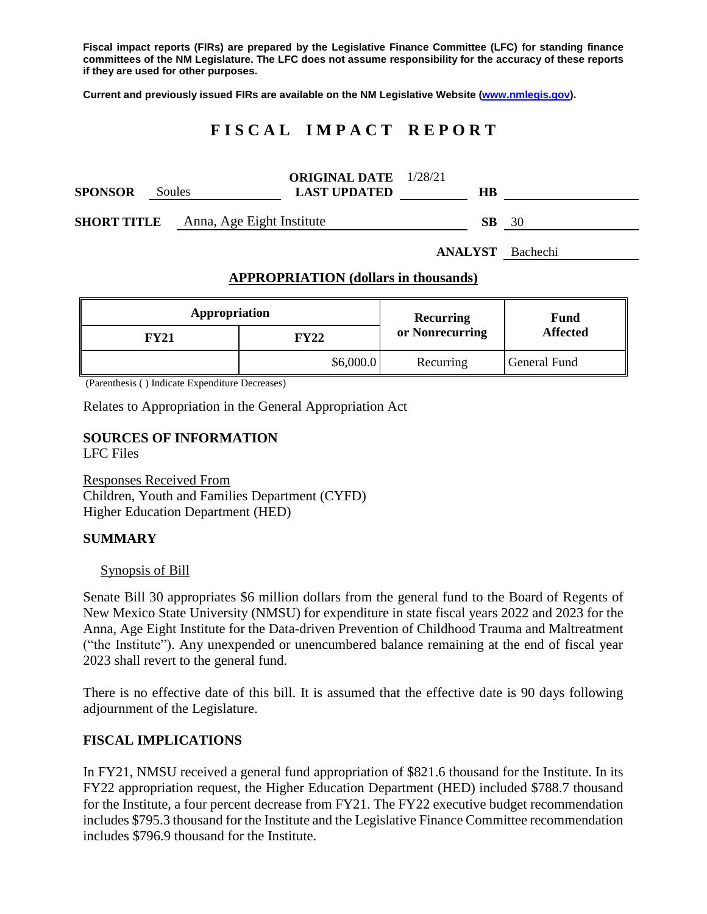**Fiscal impact reports (FIRs) are prepared by the Legislative Finance Committee (LFC) for standing finance committees of the NM Legislature. The LFC does not assume responsibility for the accuracy of these reports if they are used for other purposes.**

**Current and previously issued FIRs are available on the NM Legislative Website [\(www.nmlegis.gov\)](http://www.nmlegis.gov/).**

# **F I S C A L I M P A C T R E P O R T**

| <b>SPONSOR</b>                                  | Soules | <b>ORIGINAL DATE</b> 1/28/21<br><b>LAST UPDATED</b> | HВ |    |
|-------------------------------------------------|--------|-----------------------------------------------------|----|----|
| Anna, Age Eight Institute<br><b>SHORT TITLE</b> |        |                                                     | SВ | 30 |

**ANALYST** Bachechi

#### **APPROPRIATION (dollars in thousands)**

| Appropriation |           | Recurring       | Fund<br><b>Affected</b> |
|---------------|-----------|-----------------|-------------------------|
| FY21          | FY22      | or Nonrecurring |                         |
|               | \$6,000.0 | Recurring       | General Fund            |

(Parenthesis ( ) Indicate Expenditure Decreases)

Relates to Appropriation in the General Appropriation Act

# **SOURCES OF INFORMATION**

LFC Files

Responses Received From Children, Youth and Families Department (CYFD) Higher Education Department (HED)

#### **SUMMARY**

#### Synopsis of Bill

Senate Bill 30 appropriates \$6 million dollars from the general fund to the Board of Regents of New Mexico State University (NMSU) for expenditure in state fiscal years 2022 and 2023 for the Anna, Age Eight Institute for the Data-driven Prevention of Childhood Trauma and Maltreatment ("the Institute"). Any unexpended or unencumbered balance remaining at the end of fiscal year 2023 shall revert to the general fund.

There is no effective date of this bill. It is assumed that the effective date is 90 days following adjournment of the Legislature.

#### **FISCAL IMPLICATIONS**

In FY21, NMSU received a general fund appropriation of \$821.6 thousand for the Institute. In its FY22 appropriation request, the Higher Education Department (HED) included \$788.7 thousand for the Institute, a four percent decrease from FY21. The FY22 executive budget recommendation includes \$795.3 thousand for the Institute and the Legislative Finance Committee recommendation includes \$796.9 thousand for the Institute.